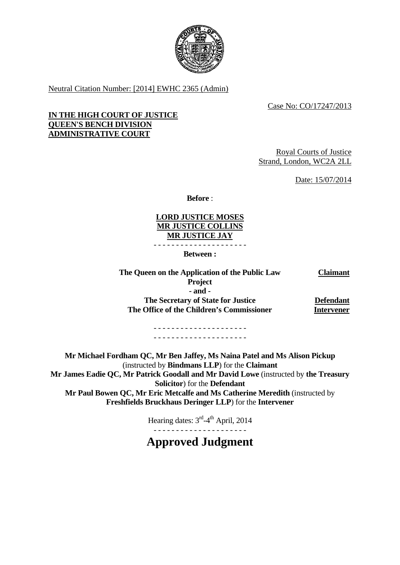

Neutral Citation Number: [2014] EWHC 2365 (Admin)

Case No: CO/17247/2013

### **IN THE HIGH COURT OF JUSTICE QUEEN'S BENCH DIVISION ADMINISTRATIVE COURT**

Royal Courts of Justice Strand, London, WC2A 2LL

Date: 15/07/2014

**Before** :

**LORD JUSTICE MOSES MR JUSTICE COLLINS MR JUSTICE JAY** 

- - - - - - - - - - - - - - - - - - - - -

**Between :** 

**The Queen on the Application of the Public Law Claimant Project - and - The Secretary of State for Justice Defendant The Office of the Children's Commissioner Intervener** 

> - - - - - - - - - - - - - - - - - - - - - - - - - - - - - - - - - - - - - - - - - -

**Mr Michael Fordham QC, Mr Ben Jaffey, Ms Naina Patel and Ms Alison Pickup** (instructed by **Bindmans LLP**) for the **Claimant Mr James Eadie QC, Mr Patrick Goodall and Mr David Lowe** (instructed by **the Treasury Solicitor**) for the **Defendant Mr Paul Bowen QC, Mr Eric Metcalfe and Ms Catherine Meredith** (instructed by **Freshfields Bruckhaus Deringer LLP**) for the **Intervener** 

Hearing dates: 3<sup>rd</sup>-4<sup>th</sup> April, 2014

**Approved Judgment**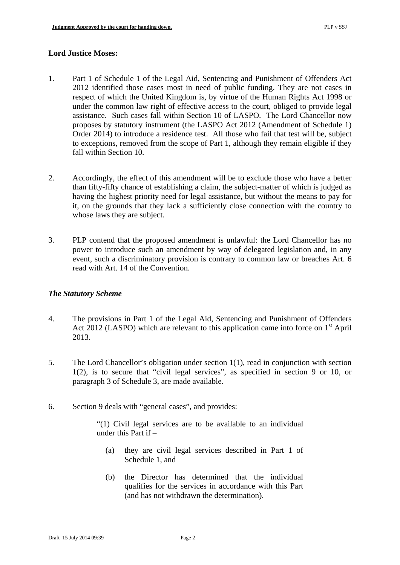#### **Lord Justice Moses:**

- 1. Part 1 of Schedule 1 of the Legal Aid, Sentencing and Punishment of Offenders Act 2012 identified those cases most in need of public funding. They are not cases in respect of which the United Kingdom is, by virtue of the Human Rights Act 1998 or under the common law right of effective access to the court, obliged to provide legal assistance. Such cases fall within Section 10 of LASPO. The Lord Chancellor now proposes by statutory instrument (the LASPO Act 2012 (Amendment of Schedule 1) Order 2014) to introduce a residence test. All those who fail that test will be, subject to exceptions, removed from the scope of Part 1, although they remain eligible if they fall within Section 10.
- 2. Accordingly, the effect of this amendment will be to exclude those who have a better than fifty-fifty chance of establishing a claim, the subject-matter of which is judged as having the highest priority need for legal assistance, but without the means to pay for it, on the grounds that they lack a sufficiently close connection with the country to whose laws they are subject.
- 3. PLP contend that the proposed amendment is unlawful: the Lord Chancellor has no power to introduce such an amendment by way of delegated legislation and, in any event, such a discriminatory provision is contrary to common law or breaches Art. 6 read with Art. 14 of the Convention.

### *The Statutory Scheme*

- 4. The provisions in Part 1 of the Legal Aid, Sentencing and Punishment of Offenders Act 2012 (LASPO) which are relevant to this application came into force on  $1<sup>st</sup>$  April 2013.
- 5. The Lord Chancellor's obligation under section 1(1), read in conjunction with section 1(2), is to secure that "civil legal services", as specified in section 9 or 10, or paragraph 3 of Schedule 3, are made available.
- 6. Section 9 deals with "general cases", and provides:

"(1) Civil legal services are to be available to an individual under this Part if –

- (a) they are civil legal services described in Part 1 of Schedule 1, and
- (b) the Director has determined that the individual qualifies for the services in accordance with this Part (and has not withdrawn the determination).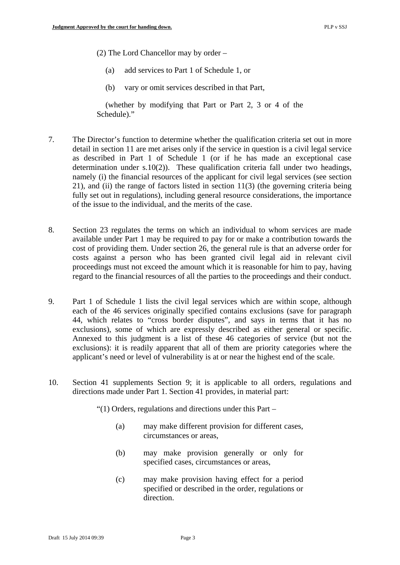(2) The Lord Chancellor may by order –

- (a) add services to Part 1 of Schedule 1, or
- (b) vary or omit services described in that Part,

(whether by modifying that Part or Part 2, 3 or 4 of the Schedule)."

- 7. The Director's function to determine whether the qualification criteria set out in more detail in section 11 are met arises only if the service in question is a civil legal service as described in Part 1 of Schedule 1 (or if he has made an exceptional case determination under s.10(2)). These qualification criteria fall under two headings, namely (i) the financial resources of the applicant for civil legal services (see section 21), and (ii) the range of factors listed in section 11(3) (the governing criteria being fully set out in regulations), including general resource considerations, the importance of the issue to the individual, and the merits of the case.
- 8. Section 23 regulates the terms on which an individual to whom services are made available under Part 1 may be required to pay for or make a contribution towards the cost of providing them. Under section 26, the general rule is that an adverse order for costs against a person who has been granted civil legal aid in relevant civil proceedings must not exceed the amount which it is reasonable for him to pay, having regard to the financial resources of all the parties to the proceedings and their conduct.
- 9. Part 1 of Schedule 1 lists the civil legal services which are within scope, although each of the 46 services originally specified contains exclusions (save for paragraph 44, which relates to "cross border disputes", and says in terms that it has no exclusions), some of which are expressly described as either general or specific. Annexed to this judgment is a list of these 46 categories of service (but not the exclusions): it is readily apparent that all of them are priority categories where the applicant's need or level of vulnerability is at or near the highest end of the scale.
- 10. Section 41 supplements Section 9; it is applicable to all orders, regulations and directions made under Part 1. Section 41 provides, in material part:

"(1) Orders, regulations and directions under this Part –

- (a) may make different provision for different cases, circumstances or areas,
- (b) may make provision generally or only for specified cases, circumstances or areas,
- (c) may make provision having effect for a period specified or described in the order, regulations or direction.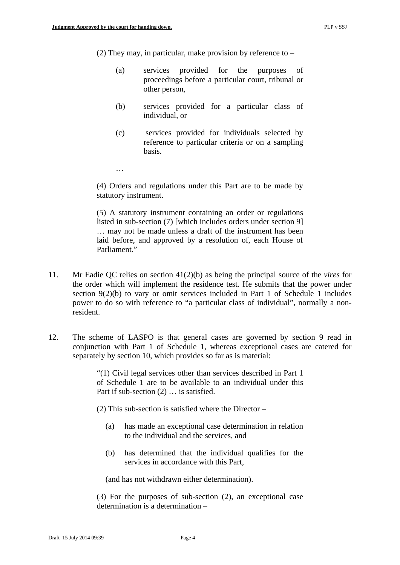…

(2) They may, in particular, make provision by reference to –

- (a) services provided for the purposes of proceedings before a particular court, tribunal or other person,
- (b) services provided for a particular class of individual, or
- (c) services provided for individuals selected by reference to particular criteria or on a sampling basis.

(4) Orders and regulations under this Part are to be made by statutory instrument.

(5) A statutory instrument containing an order or regulations listed in sub-section (7) [which includes orders under section 9] … may not be made unless a draft of the instrument has been laid before, and approved by a resolution of, each House of Parliament"

- 11. Mr Eadie QC relies on section 41(2)(b) as being the principal source of the *vires* for the order which will implement the residence test. He submits that the power under section 9(2)(b) to vary or omit services included in Part 1 of Schedule 1 includes power to do so with reference to "a particular class of individual", normally a nonresident.
- 12. The scheme of LASPO is that general cases are governed by section 9 read in conjunction with Part 1 of Schedule 1, whereas exceptional cases are catered for separately by section 10, which provides so far as is material:

"(1) Civil legal services other than services described in Part 1 of Schedule 1 are to be available to an individual under this Part if sub-section (2) … is satisfied.

(2) This sub-section is satisfied where the Director –

- (a) has made an exceptional case determination in relation to the individual and the services, and
- (b) has determined that the individual qualifies for the services in accordance with this Part,

(and has not withdrawn either determination).

(3) For the purposes of sub-section (2), an exceptional case determination is a determination –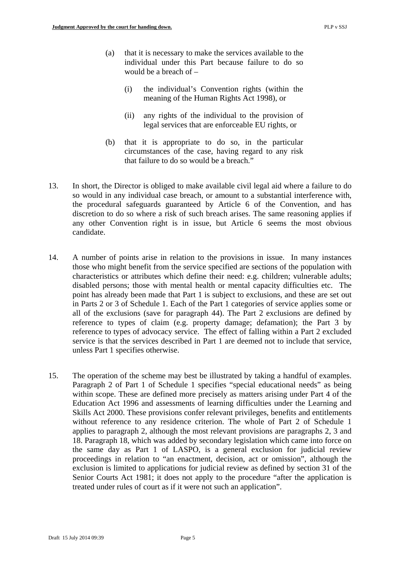- (a) that it is necessary to make the services available to the individual under this Part because failure to do so would be a breach of –
	- (i) the individual's Convention rights (within the meaning of the Human Rights Act 1998), or
	- (ii) any rights of the individual to the provision of legal services that are enforceable EU rights, or
- (b) that it is appropriate to do so, in the particular circumstances of the case, having regard to any risk that failure to do so would be a breach."
- 13. In short, the Director is obliged to make available civil legal aid where a failure to do so would in any individual case breach, or amount to a substantial interference with, the procedural safeguards guaranteed by Article 6 of the Convention, and has discretion to do so where a risk of such breach arises. The same reasoning applies if any other Convention right is in issue, but Article 6 seems the most obvious candidate.
- 14. A number of points arise in relation to the provisions in issue. In many instances those who might benefit from the service specified are sections of the population with characteristics or attributes which define their need: e.g. children; vulnerable adults; disabled persons; those with mental health or mental capacity difficulties etc. The point has already been made that Part 1 is subject to exclusions, and these are set out in Parts 2 or 3 of Schedule 1. Each of the Part 1 categories of service applies some or all of the exclusions (save for paragraph 44). The Part 2 exclusions are defined by reference to types of claim (e.g. property damage; defamation); the Part 3 by reference to types of advocacy service. The effect of falling within a Part 2 excluded service is that the services described in Part 1 are deemed not to include that service, unless Part 1 specifies otherwise.
- 15. The operation of the scheme may best be illustrated by taking a handful of examples. Paragraph 2 of Part 1 of Schedule 1 specifies "special educational needs" as being within scope. These are defined more precisely as matters arising under Part 4 of the Education Act 1996 and assessments of learning difficulties under the Learning and Skills Act 2000. These provisions confer relevant privileges, benefits and entitlements without reference to any residence criterion. The whole of Part 2 of Schedule 1 applies to paragraph 2, although the most relevant provisions are paragraphs 2, 3 and 18. Paragraph 18, which was added by secondary legislation which came into force on the same day as Part 1 of LASPO, is a general exclusion for judicial review proceedings in relation to "an enactment, decision, act or omission", although the exclusion is limited to applications for judicial review as defined by section 31 of the Senior Courts Act 1981; it does not apply to the procedure "after the application is treated under rules of court as if it were not such an application".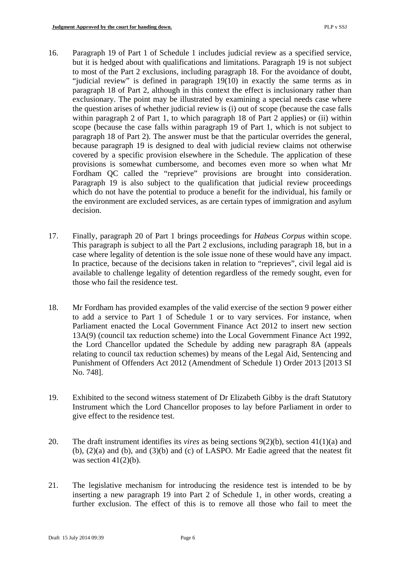- 16. Paragraph 19 of Part 1 of Schedule 1 includes judicial review as a specified service, but it is hedged about with qualifications and limitations. Paragraph 19 is not subject to most of the Part 2 exclusions, including paragraph 18. For the avoidance of doubt, "judicial review" is defined in paragraph 19(10) in exactly the same terms as in paragraph 18 of Part 2, although in this context the effect is inclusionary rather than exclusionary. The point may be illustrated by examining a special needs case where the question arises of whether judicial review is (i) out of scope (because the case falls within paragraph 2 of Part 1, to which paragraph 18 of Part 2 applies) or (ii) within scope (because the case falls within paragraph 19 of Part 1, which is not subject to paragraph 18 of Part 2). The answer must be that the particular overrides the general, because paragraph 19 is designed to deal with judicial review claims not otherwise covered by a specific provision elsewhere in the Schedule. The application of these provisions is somewhat cumbersome, and becomes even more so when what Mr Fordham QC called the "reprieve" provisions are brought into consideration. Paragraph 19 is also subject to the qualification that judicial review proceedings which do not have the potential to produce a benefit for the individual, his family or the environment are excluded services, as are certain types of immigration and asylum decision.
- 17. Finally, paragraph 20 of Part 1 brings proceedings for *Habeas Corpus* within scope. This paragraph is subject to all the Part 2 exclusions, including paragraph 18, but in a case where legality of detention is the sole issue none of these would have any impact. In practice, because of the decisions taken in relation to "reprieves", civil legal aid is available to challenge legality of detention regardless of the remedy sought, even for those who fail the residence test.
- 18. Mr Fordham has provided examples of the valid exercise of the section 9 power either to add a service to Part 1 of Schedule 1 or to vary services. For instance, when Parliament enacted the Local Government Finance Act 2012 to insert new section 13A(9) (council tax reduction scheme) into the Local Government Finance Act 1992, the Lord Chancellor updated the Schedule by adding new paragraph 8A (appeals relating to council tax reduction schemes) by means of the Legal Aid, Sentencing and Punishment of Offenders Act 2012 (Amendment of Schedule 1) Order 2013 [2013 SI No. 748].
- 19. Exhibited to the second witness statement of Dr Elizabeth Gibby is the draft Statutory Instrument which the Lord Chancellor proposes to lay before Parliament in order to give effect to the residence test.
- 20. The draft instrument identifies its *vires* as being sections 9(2)(b), section 41(1)(a) and  $(b)$ ,  $(2)(a)$  and  $(b)$ , and  $(3)(b)$  and  $(c)$  of LASPO. Mr Eadie agreed that the neatest fit was section  $41(2)(b)$ .
- 21. The legislative mechanism for introducing the residence test is intended to be by inserting a new paragraph 19 into Part 2 of Schedule 1, in other words, creating a further exclusion. The effect of this is to remove all those who fail to meet the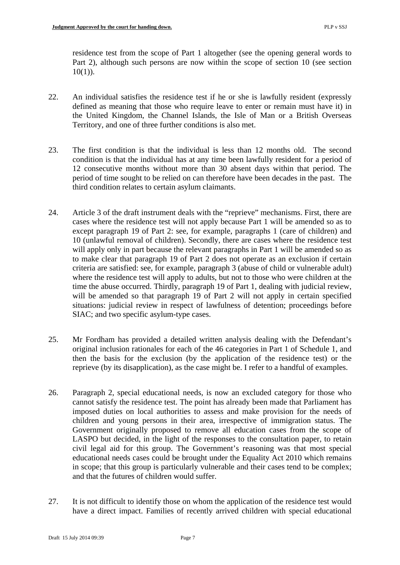residence test from the scope of Part 1 altogether (see the opening general words to Part 2), although such persons are now within the scope of section 10 (see section  $10(1)$ ).

- 22. An individual satisfies the residence test if he or she is lawfully resident (expressly defined as meaning that those who require leave to enter or remain must have it) in the United Kingdom, the Channel Islands, the Isle of Man or a British Overseas Territory, and one of three further conditions is also met.
- 23. The first condition is that the individual is less than 12 months old. The second condition is that the individual has at any time been lawfully resident for a period of 12 consecutive months without more than 30 absent days within that period. The period of time sought to be relied on can therefore have been decades in the past. The third condition relates to certain asylum claimants.
- 24. Article 3 of the draft instrument deals with the "reprieve" mechanisms. First, there are cases where the residence test will not apply because Part 1 will be amended so as to except paragraph 19 of Part 2: see, for example, paragraphs 1 (care of children) and 10 (unlawful removal of children). Secondly, there are cases where the residence test will apply only in part because the relevant paragraphs in Part 1 will be amended so as to make clear that paragraph 19 of Part 2 does not operate as an exclusion if certain criteria are satisfied: see, for example, paragraph 3 (abuse of child or vulnerable adult) where the residence test will apply to adults, but not to those who were children at the time the abuse occurred. Thirdly, paragraph 19 of Part 1, dealing with judicial review, will be amended so that paragraph 19 of Part 2 will not apply in certain specified situations: judicial review in respect of lawfulness of detention; proceedings before SIAC; and two specific asylum-type cases.
- 25. Mr Fordham has provided a detailed written analysis dealing with the Defendant's original inclusion rationales for each of the 46 categories in Part 1 of Schedule 1, and then the basis for the exclusion (by the application of the residence test) or the reprieve (by its disapplication), as the case might be. I refer to a handful of examples.
- 26. Paragraph 2, special educational needs, is now an excluded category for those who cannot satisfy the residence test. The point has already been made that Parliament has imposed duties on local authorities to assess and make provision for the needs of children and young persons in their area, irrespective of immigration status. The Government originally proposed to remove all education cases from the scope of LASPO but decided, in the light of the responses to the consultation paper, to retain civil legal aid for this group. The Government's reasoning was that most special educational needs cases could be brought under the Equality Act 2010 which remains in scope; that this group is particularly vulnerable and their cases tend to be complex; and that the futures of children would suffer.
- 27. It is not difficult to identify those on whom the application of the residence test would have a direct impact. Families of recently arrived children with special educational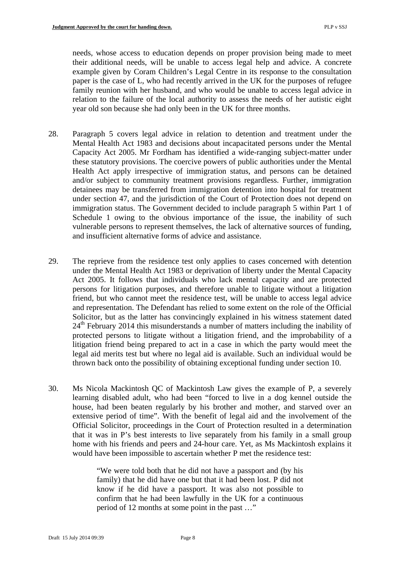needs, whose access to education depends on proper provision being made to meet their additional needs, will be unable to access legal help and advice. A concrete example given by Coram Children's Legal Centre in its response to the consultation paper is the case of L, who had recently arrived in the UK for the purposes of refugee family reunion with her husband, and who would be unable to access legal advice in relation to the failure of the local authority to assess the needs of her autistic eight year old son because she had only been in the UK for three months.

- 28. Paragraph 5 covers legal advice in relation to detention and treatment under the Mental Health Act 1983 and decisions about incapacitated persons under the Mental Capacity Act 2005. Mr Fordham has identified a wide-ranging subject-matter under these statutory provisions. The coercive powers of public authorities under the Mental Health Act apply irrespective of immigration status, and persons can be detained and/or subject to community treatment provisions regardless. Further, immigration detainees may be transferred from immigration detention into hospital for treatment under section 47, and the jurisdiction of the Court of Protection does not depend on immigration status. The Government decided to include paragraph 5 within Part 1 of Schedule 1 owing to the obvious importance of the issue, the inability of such vulnerable persons to represent themselves, the lack of alternative sources of funding, and insufficient alternative forms of advice and assistance.
- 29. The reprieve from the residence test only applies to cases concerned with detention under the Mental Health Act 1983 or deprivation of liberty under the Mental Capacity Act 2005. It follows that individuals who lack mental capacity and are protected persons for litigation purposes, and therefore unable to litigate without a litigation friend, but who cannot meet the residence test, will be unable to access legal advice and representation. The Defendant has relied to some extent on the role of the Official Solicitor, but as the latter has convincingly explained in his witness statement dated 24<sup>th</sup> February 2014 this misunderstands a number of matters including the inability of protected persons to litigate without a litigation friend, and the improbability of a litigation friend being prepared to act in a case in which the party would meet the legal aid merits test but where no legal aid is available. Such an individual would be thrown back onto the possibility of obtaining exceptional funding under section 10.
- 30. Ms Nicola Mackintosh QC of Mackintosh Law gives the example of P, a severely learning disabled adult, who had been "forced to live in a dog kennel outside the house, had been beaten regularly by his brother and mother, and starved over an extensive period of time". With the benefit of legal aid and the involvement of the Official Solicitor, proceedings in the Court of Protection resulted in a determination that it was in P's best interests to live separately from his family in a small group home with his friends and peers and 24-hour care. Yet, as Ms Mackintosh explains it would have been impossible to ascertain whether P met the residence test:

"We were told both that he did not have a passport and (by his family) that he did have one but that it had been lost. P did not know if he did have a passport. It was also not possible to confirm that he had been lawfully in the UK for a continuous period of 12 months at some point in the past …"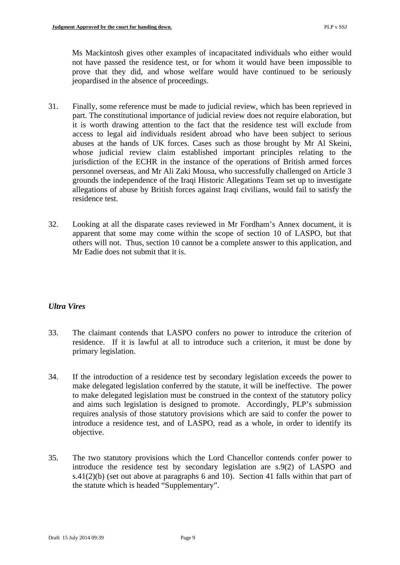Ms Mackintosh gives other examples of incapacitated individuals who either would not have passed the residence test, or for whom it would have been impossible to prove that they did, and whose welfare would have continued to be seriously jeopardised in the absence of proceedings.

- 31. Finally, some reference must be made to judicial review, which has been reprieved in part. The constitutional importance of judicial review does not require elaboration, but it is worth drawing attention to the fact that the residence test will exclude from access to legal aid individuals resident abroad who have been subject to serious abuses at the hands of UK forces. Cases such as those brought by Mr Al Skeini, whose judicial review claim established important principles relating to the jurisdiction of the ECHR in the instance of the operations of British armed forces personnel overseas, and Mr Ali Zaki Mousa, who successfully challenged on Article 3 grounds the independence of the Iraqi Historic Allegations Team set up to investigate allegations of abuse by British forces against Iraqi civilians, would fail to satisfy the residence test.
- 32. Looking at all the disparate cases reviewed in Mr Fordham's Annex document, it is apparent that some may come within the scope of section 10 of LASPO, but that others will not. Thus, section 10 cannot be a complete answer to this application, and Mr Eadie does not submit that it is.

# *Ultra Vires*

- 33. The claimant contends that LASPO confers no power to introduce the criterion of residence. If it is lawful at all to introduce such a criterion, it must be done by primary legislation.
- 34. If the introduction of a residence test by secondary legislation exceeds the power to make delegated legislation conferred by the statute, it will be ineffective. The power to make delegated legislation must be construed in the context of the statutory policy and aims such legislation is designed to promote. Accordingly, PLP's submission requires analysis of those statutory provisions which are said to confer the power to introduce a residence test, and of LASPO, read as a whole, in order to identify its objective.
- 35. The two statutory provisions which the Lord Chancellor contends confer power to introduce the residence test by secondary legislation are s.9(2) of LASPO and s.41(2)(b) (set out above at paragraphs 6 and 10). Section 41 falls within that part of the statute which is headed "Supplementary".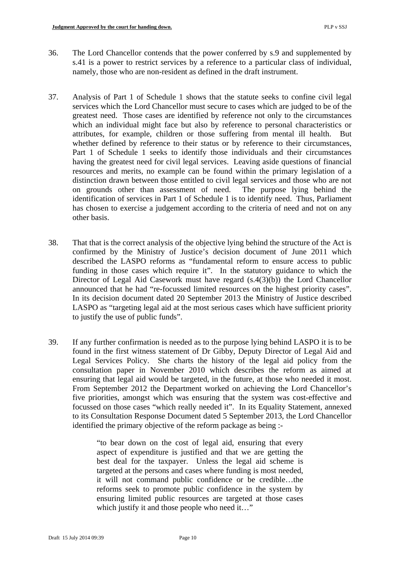- 36. The Lord Chancellor contends that the power conferred by s.9 and supplemented by s.41 is a power to restrict services by a reference to a particular class of individual, namely, those who are non-resident as defined in the draft instrument.
- 37. Analysis of Part 1 of Schedule 1 shows that the statute seeks to confine civil legal services which the Lord Chancellor must secure to cases which are judged to be of the greatest need. Those cases are identified by reference not only to the circumstances which an individual might face but also by reference to personal characteristics or attributes, for example, children or those suffering from mental ill health. But whether defined by reference to their status or by reference to their circumstances, Part 1 of Schedule 1 seeks to identify those individuals and their circumstances having the greatest need for civil legal services. Leaving aside questions of financial resources and merits, no example can be found within the primary legislation of a distinction drawn between those entitled to civil legal services and those who are not on grounds other than assessment of need. The purpose lying behind the identification of services in Part 1 of Schedule 1 is to identify need. Thus, Parliament has chosen to exercise a judgement according to the criteria of need and not on any other basis.
- 38. That that is the correct analysis of the objective lying behind the structure of the Act is confirmed by the Ministry of Justice's decision document of June 2011 which described the LASPO reforms as "fundamental reform to ensure access to public funding in those cases which require it". In the statutory guidance to which the Director of Legal Aid Casework must have regard (s.4(3)(b)) the Lord Chancellor announced that he had "re-focussed limited resources on the highest priority cases". In its decision document dated 20 September 2013 the Ministry of Justice described LASPO as "targeting legal aid at the most serious cases which have sufficient priority to justify the use of public funds".
- ensuring that legal aid would be targeted, in the future, at those who needed it most. 39. If any further confirmation is needed as to the purpose lying behind LASPO it is to be found in the first witness statement of Dr Gibby, Deputy Director of Legal Aid and Legal Services Policy. She charts the history of the legal aid policy from the consultation paper in November 2010 which describes the reform as aimed at From September 2012 the Department worked on achieving the Lord Chancellor's five priorities, amongst which was ensuring that the system was cost-effective and focussed on those cases "which really needed it". In its Equality Statement, annexed to its Consultation Response Document dated 5 September 2013, the Lord Chancellor identified the primary objective of the reform package as being :-

"to bear down on the cost of legal aid, ensuring that every aspect of expenditure is justified and that we are getting the best deal for the taxpayer. Unless the legal aid scheme is targeted at the persons and cases where funding is most needed, it will not command public confidence or be credible…the reforms seek to promote public confidence in the system by ensuring limited public resources are targeted at those cases which justify it and those people who need it…"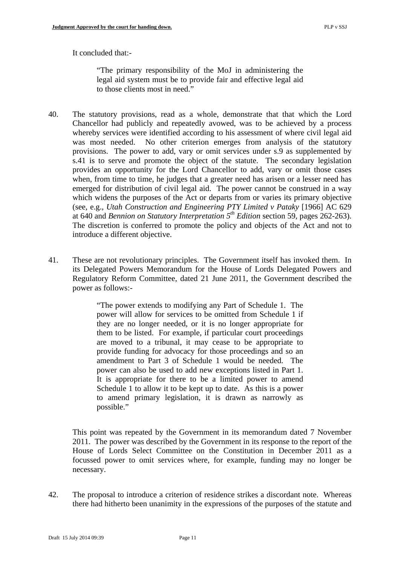It concluded that:-

"The primary responsibility of the MoJ in administering the legal aid system must be to provide fair and effective legal aid to those clients most in need."

- 40. The statutory provisions, read as a whole, demonstrate that that which the Lord Chancellor had publicly and repeatedly avowed, was to be achieved by a process whereby services were identified according to his assessment of where civil legal aid was most needed. No other criterion emerges from analysis of the statutory provisions. The power to add, vary or omit services under s.9 as supplemented by s.41 is to serve and promote the object of the statute. The secondary legislation provides an opportunity for the Lord Chancellor to add, vary or omit those cases when, from time to time, he judges that a greater need has arisen or a lesser need has emerged for distribution of civil legal aid. The power cannot be construed in a way which widens the purposes of the Act or departs from or varies its primary objective (see, e.g., *Utah Construction and Engineering PTY Limited v Pataky* [1966] AC 629 at 640 and *Bennion on Statutory Interpretation 5th Edition* section 59, pages 262-263). The discretion is conferred to promote the policy and objects of the Act and not to introduce a different objective.
- 41. These are not revolutionary principles. The Government itself has invoked them. In its Delegated Powers Memorandum for the House of Lords Delegated Powers and Regulatory Reform Committee, dated 21 June 2011, the Government described the power as follows:-

"The power extends to modifying any Part of Schedule 1. The power will allow for services to be omitted from Schedule 1 if they are no longer needed, or it is no longer appropriate for them to be listed. For example, if particular court proceedings are moved to a tribunal, it may cease to be appropriate to provide funding for advocacy for those proceedings and so an amendment to Part 3 of Schedule 1 would be needed. The power can also be used to add new exceptions listed in Part 1. It is appropriate for there to be a limited power to amend Schedule 1 to allow it to be kept up to date. As this is a power to amend primary legislation, it is drawn as narrowly as possible."

This point was repeated by the Government in its memorandum dated 7 November 2011. The power was described by the Government in its response to the report of the House of Lords Select Committee on the Constitution in December 2011 as a focussed power to omit services where, for example, funding may no longer be necessary.

42. The proposal to introduce a criterion of residence strikes a discordant note. Whereas there had hitherto been unanimity in the expressions of the purposes of the statute and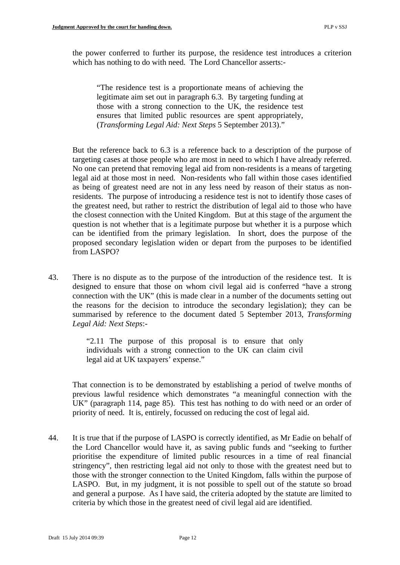the power conferred to further its purpose, the residence test introduces a criterion which has nothing to do with need. The Lord Chancellor asserts:-

"The residence test is a proportionate means of achieving the legitimate aim set out in paragraph 6.3. By targeting funding at those with a strong connection to the UK, the residence test ensures that limited public resources are spent appropriately, (*Transforming Legal Aid: Next Steps* 5 September 2013)."

But the reference back to 6.3 is a reference back to a description of the purpose of targeting cases at those people who are most in need to which I have already referred. No one can pretend that removing legal aid from non-residents is a means of targeting legal aid at those most in need. Non-residents who fall within those cases identified as being of greatest need are not in any less need by reason of their status as nonresidents. The purpose of introducing a residence test is not to identify those cases of the greatest need, but rather to restrict the distribution of legal aid to those who have the closest connection with the United Kingdom. But at this stage of the argument the question is not whether that is a legitimate purpose but whether it is a purpose which can be identified from the primary legislation. In short, does the purpose of the proposed secondary legislation widen or depart from the purposes to be identified from LASPO?

43. There is no dispute as to the purpose of the introduction of the residence test. It is designed to ensure that those on whom civil legal aid is conferred "have a strong connection with the UK" (this is made clear in a number of the documents setting out the reasons for the decision to introduce the secondary legislation); they can be summarised by reference to the document dated 5 September 2013, *Transforming Legal Aid: Next Steps*:-

> "2.11 The purpose of this proposal is to ensure that only individuals with a strong connection to the UK can claim civil legal aid at UK taxpayers' expense."

That connection is to be demonstrated by establishing a period of twelve months of previous lawful residence which demonstrates "a meaningful connection with the UK" (paragraph 114, page 85). This test has nothing to do with need or an order of priority of need. It is, entirely, focussed on reducing the cost of legal aid.

44. It is true that if the purpose of LASPO is correctly identified, as Mr Eadie on behalf of the Lord Chancellor would have it, as saving public funds and "seeking to further prioritise the expenditure of limited public resources in a time of real financial stringency", then restricting legal aid not only to those with the greatest need but to those with the stronger connection to the United Kingdom, falls within the purpose of LASPO. But, in my judgment, it is not possible to spell out of the statute so broad and general a purpose. As I have said, the criteria adopted by the statute are limited to criteria by which those in the greatest need of civil legal aid are identified.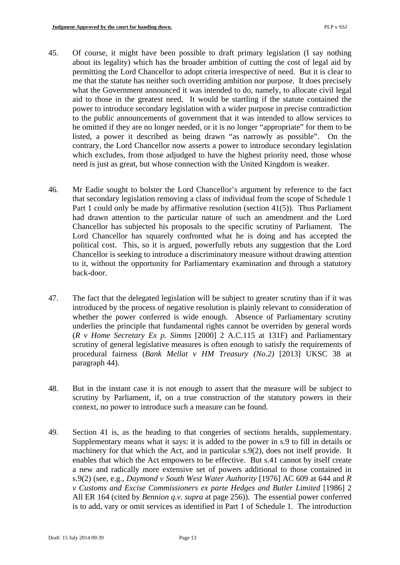- 45. Of course, it might have been possible to draft primary legislation (I say nothing about its legality) which has the broader ambition of cutting the cost of legal aid by permitting the Lord Chancellor to adopt criteria irrespective of need. But it is clear to me that the statute has neither such overriding ambition nor purpose. It does precisely what the Government announced it was intended to do, namely, to allocate civil legal aid to those in the greatest need. It would be startling if the statute contained the power to introduce secondary legislation with a wider purpose in precise contradiction to the public announcements of government that it was intended to allow services to be omitted if they are no longer needed, or it is no longer "appropriate" for them to be listed, a power it described as being drawn "as narrowly as possible". On the contrary, the Lord Chancellor now asserts a power to introduce secondary legislation which excludes, from those adjudged to have the highest priority need, those whose need is just as great, but whose connection with the United Kingdom is weaker.
- 46. Mr Eadie sought to bolster the Lord Chancellor's argument by reference to the fact that secondary legislation removing a class of individual from the scope of Schedule 1 Part 1 could only be made by affirmative resolution (section 41(5)). Thus Parliament had drawn attention to the particular nature of such an amendment and the Lord Chancellor has subjected his proposals to the specific scrutiny of Parliament. The Lord Chancellor has squarely confronted what he is doing and has accepted the political cost. This, so it is argued, powerfully rebuts any suggestion that the Lord Chancellor is seeking to introduce a discriminatory measure without drawing attention to it, without the opportunity for Parliamentary examination and through a statutory back-door.
- 47. The fact that the delegated legislation will be subject to greater scrutiny than if it was introduced by the process of negative resolution is plainly relevant to consideration of whether the power conferred is wide enough. Absence of Parliamentary scrutiny underlies the principle that fundamental rights cannot be overriden by general words (*R v Home Secretary Ex p. Simms* [2000] 2 A.C.115 at 131F) and Parliamentary scrutiny of general legislative measures is often enough to satisfy the requirements of procedural fairness (*Bank Mellat v HM Treasury (No.2)* [2013] UKSC 38 at paragraph 44).
- 48. But in the instant case it is not enough to assert that the measure will be subject to scrutiny by Parliament, if, on a true construction of the statutory powers in their context, no power to introduce such a measure can be found.
- 49. Section 41 is, as the heading to that congeries of sections heralds, supplementary. Supplementary means what it says: it is added to the power in s.9 to fill in details or machinery for that which the Act, and in particular s.9(2), does not itself provide. It enables that which the Act empowers to be effective. But s.41 cannot by itself create a new and radically more extensive set of powers additional to those contained in s.9(2) (see, e.g., *Daymond v South West Water Authority* [1976] AC 609 at 644 and *R v Customs and Excise Commissioners ex parte Hedges and Butler Limited* [1986] 2 All ER 164 (cited by *Bennion q.v. supra* at page 256)). The essential power conferred is to add, vary or omit services as identified in Part 1 of Schedule 1. The introduction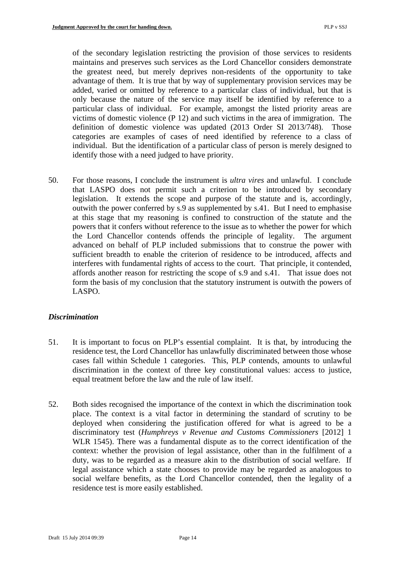of the secondary legislation restricting the provision of those services to residents maintains and preserves such services as the Lord Chancellor considers demonstrate the greatest need, but merely deprives non-residents of the opportunity to take advantage of them. It is true that by way of supplementary provision services may be added, varied or omitted by reference to a particular class of individual, but that is only because the nature of the service may itself be identified by reference to a particular class of individual. For example, amongst the listed priority areas are victims of domestic violence (P 12) and such victims in the area of immigration. The definition of domestic violence was updated (2013 Order SI 2013/748). Those categories are examples of cases of need identified by reference to a class of individual. But the identification of a particular class of person is merely designed to identify those with a need judged to have priority.

50. For those reasons, I conclude the instrument is *ultra vires* and unlawful. I conclude that LASPO does not permit such a criterion to be introduced by secondary legislation. It extends the scope and purpose of the statute and is, accordingly, outwith the power conferred by s.9 as supplemented by s.41. But I need to emphasise at this stage that my reasoning is confined to construction of the statute and the powers that it confers without reference to the issue as to whether the power for which the Lord Chancellor contends offends the principle of legality. The argument advanced on behalf of PLP included submissions that to construe the power with sufficient breadth to enable the criterion of residence to be introduced, affects and interferes with fundamental rights of access to the court. That principle, it contended, affords another reason for restricting the scope of s.9 and s.41. That issue does not form the basis of my conclusion that the statutory instrument is outwith the powers of LASPO.

### *Discrimination*

- equal treatment before the law and the rule of law itself. 51. It is important to focus on PLP's essential complaint. It is that, by introducing the residence test, the Lord Chancellor has unlawfully discriminated between those whose cases fall within Schedule 1 categories. This, PLP contends, amounts to unlawful discrimination in the context of three key constitutional values: access to justice,
- 52. Both sides recognised the importance of the context in which the discrimination took place. The context is a vital factor in determining the standard of scrutiny to be deployed when considering the justification offered for what is agreed to be a discriminatory test (*Humphreys v Revenue and Customs Commissioners* [2012] 1 WLR 1545). There was a fundamental dispute as to the correct identification of the context: whether the provision of legal assistance, other than in the fulfilment of a duty, was to be regarded as a measure akin to the distribution of social welfare. If legal assistance which a state chooses to provide may be regarded as analogous to social welfare benefits, as the Lord Chancellor contended, then the legality of a residence test is more easily established.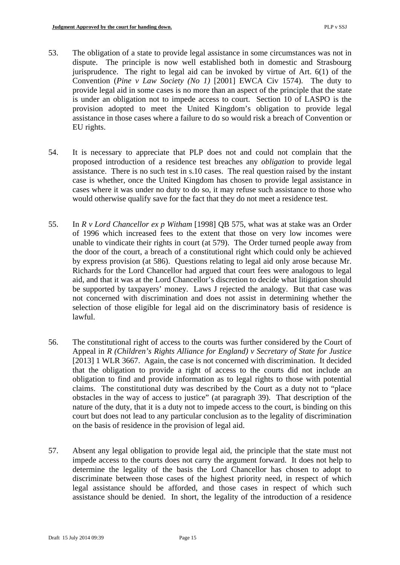- 53. The obligation of a state to provide legal assistance in some circumstances was not in dispute. The principle is now well established both in domestic and Strasbourg jurisprudence. The right to legal aid can be invoked by virtue of Art. 6(1) of the Convention (*Pine v Law Society (No 1)* [2001] EWCA Civ 1574). The duty to provide legal aid in some cases is no more than an aspect of the principle that the state is under an obligation not to impede access to court. Section 10 of LASPO is the provision adopted to meet the United Kingdom's obligation to provide legal assistance in those cases where a failure to do so would risk a breach of Convention or EU rights.
- 54. It is necessary to appreciate that PLP does not and could not complain that the proposed introduction of a residence test breaches any *obligation* to provide legal assistance. There is no such test in s.10 cases. The real question raised by the instant case is whether, once the United Kingdom has chosen to provide legal assistance in cases where it was under no duty to do so, it may refuse such assistance to those who would otherwise qualify save for the fact that they do not meet a residence test.
- 55. In *R v Lord Chancellor ex p Witham* [1998] QB 575, what was at stake was an Order of 1996 which increased fees to the extent that those on very low incomes were unable to vindicate their rights in court (at 579). The Order turned people away from the door of the court, a breach of a constitutional right which could only be achieved by express provision (at 586). Questions relating to legal aid only arose because Mr. Richards for the Lord Chancellor had argued that court fees were analogous to legal aid, and that it was at the Lord Chancellor's discretion to decide what litigation should be supported by taxpayers' money. Laws J rejected the analogy. But that case was not concerned with discrimination and does not assist in determining whether the selection of those eligible for legal aid on the discriminatory basis of residence is lawful.
- 56. The constitutional right of access to the courts was further considered by the Court of Appeal in *R (Children's Rights Alliance for England) v Secretary of State for Justice*  [2013] 1 WLR 3667. Again, the case is not concerned with discrimination. It decided that the obligation to provide a right of access to the courts did not include an obligation to find and provide information as to legal rights to those with potential claims. The constitutional duty was described by the Court as a duty not to "place obstacles in the way of access to justice" (at paragraph 39). That description of the nature of the duty, that it is a duty not to impede access to the court, is binding on this court but does not lead to any particular conclusion as to the legality of discrimination on the basis of residence in the provision of legal aid.
- 57. Absent any legal obligation to provide legal aid, the principle that the state must not impede access to the courts does not carry the argument forward. It does not help to determine the legality of the basis the Lord Chancellor has chosen to adopt to discriminate between those cases of the highest priority need, in respect of which legal assistance should be afforded, and those cases in respect of which such assistance should be denied. In short, the legality of the introduction of a residence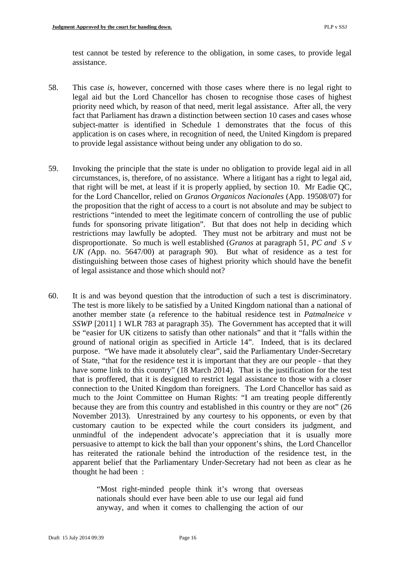test cannot be tested by reference to the obligation, in some cases, to provide legal assistance.

- 58. This case *is*, however, concerned with those cases where there is no legal right to legal aid but the Lord Chancellor has chosen to recognise those cases of highest priority need which, by reason of that need, merit legal assistance. After all, the very fact that Parliament has drawn a distinction between section 10 cases and cases whose subject-matter is identified in Schedule 1 demonstrates that the focus of this application is on cases where, in recognition of need, the United Kingdom is prepared to provide legal assistance without being under any obligation to do so.
- of legal assistance and those which should not? 59. Invoking the principle that the state is under no obligation to provide legal aid in all circumstances, is, therefore, of no assistance. Where a litigant has a right to legal aid, that right will be met, at least if it is properly applied, by section 10. Mr Eadie QC, for the Lord Chancellor, relied on *Granos Organicos Nacionales* (App. 19508/07) for the proposition that the right of access to a court is not absolute and may be subject to restrictions "intended to meet the legitimate concern of controlling the use of public funds for sponsoring private litigation". But that does not help in deciding which restrictions may lawfully be adopted. They must not be arbitrary and must not be disproportionate. So much is well established (*Granos* at paragraph 51, *PC and S v UK (*App. no. 5647/00) at paragraph 90). But what of residence as a test for distinguishing between those cases of highest priority which should have the benefit
- persuasive to attempt to kick the ball than your opponent's shins, the Lord Chancellor 60. It is and was beyond question that the introduction of such a test is discriminatory. The test is more likely to be satisfied by a United Kingdom national than a national of another member state (a reference to the habitual residence test in *Patmalneice v SSWP* [2011] 1 WLR 783 at paragraph 35). The Government has accepted that it will be "easier for UK citizens to satisfy than other nationals" and that it "falls within the ground of national origin as specified in Article 14". Indeed, that is its declared purpose. "We have made it absolutely clear", said the Parliamentary Under-Secretary of State, "that for the residence test it is important that they are our people - that they have some link to this country" (18 March 2014). That is the justification for the test that is proffered, that it is designed to restrict legal assistance to those with a closer connection to the United Kingdom than foreigners. The Lord Chancellor has said as much to the Joint Committee on Human Rights: "I am treating people differently because they are from this country and established in this country or they are not" (26 November 2013). Unrestrained by any courtesy to his opponents, or even by that customary caution to be expected while the court considers its judgment, and unmindful of the independent advocate's appreciation that it is usually more has reiterated the rationale behind the introduction of the residence test, in the apparent belief that the Parliamentary Under-Secretary had not been as clear as he thought he had been :

"Most right-minded people think it's wrong that overseas nationals should ever have been able to use our legal aid fund anyway, and when it comes to challenging the action of our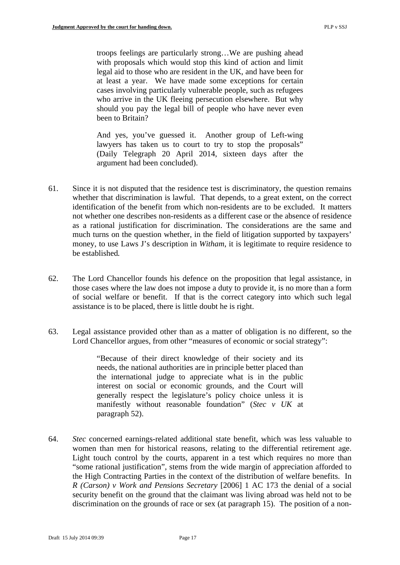troops feelings are particularly strong…We are pushing ahead with proposals which would stop this kind of action and limit legal aid to those who are resident in the UK, and have been for at least a year. We have made some exceptions for certain cases involving particularly vulnerable people, such as refugees who arrive in the UK fleeing persecution elsewhere. But why should you pay the legal bill of people who have never even been to Britain?

And yes, you've guessed it. Another group of Left-wing lawyers has taken us to court to try to stop the proposals" (Daily Telegraph 20 April 2014, sixteen days after the argument had been concluded).

- be established*.* 61. Since it is not disputed that the residence test is discriminatory, the question remains whether that discrimination is lawful. That depends, to a great extent, on the correct identification of the benefit from which non-residents are to be excluded. It matters not whether one describes non-residents as a different case or the absence of residence as a rational justification for discrimination. The considerations are the same and much turns on the question whether, in the field of litigation supported by taxpayers' money, to use Laws J's description in *Witham*, it is legitimate to require residence to
- 62. The Lord Chancellor founds his defence on the proposition that legal assistance, in those cases where the law does not impose a duty to provide it, is no more than a form of social welfare or benefit. If that is the correct category into which such legal assistance is to be placed, there is little doubt he is right.
- 63. Legal assistance provided other than as a matter of obligation is no different, so the Lord Chancellor argues, from other "measures of economic or social strategy":

"Because of their direct knowledge of their society and its needs, the national authorities are in principle better placed than the international judge to appreciate what is in the public interest on social or economic grounds, and the Court will generally respect the legislature's policy choice unless it is manifestly without reasonable foundation" (*Stec v UK* at paragraph 52).

64. *Stec* concerned earnings-related additional state benefit, which was less valuable to women than men for historical reasons, relating to the differential retirement age. Light touch control by the courts, apparent in a test which requires no more than "some rational justification", stems from the wide margin of appreciation afforded to the High Contracting Parties in the context of the distribution of welfare benefits. In *R (Carson) v Work and Pensions Secretary* [2006] 1 AC 173 the denial of a social security benefit on the ground that the claimant was living abroad was held not to be discrimination on the grounds of race or sex (at paragraph 15). The position of a non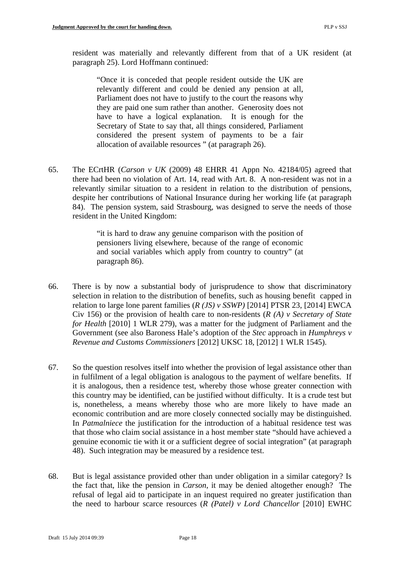resident was materially and relevantly different from that of a UK resident (at paragraph 25). Lord Hoffmann continued:

"Once it is conceded that people resident outside the UK are relevantly different and could be denied any pension at all, Parliament does not have to justify to the court the reasons why they are paid one sum rather than another. Generosity does not have to have a logical explanation. It is enough for the Secretary of State to say that, all things considered, Parliament considered the present system of payments to be a fair allocation of available resources " (at paragraph 26).

65. The ECrtHR (*Carson v UK* (2009) 48 EHRR 41 Appn No. 42184/05) agreed that there had been no violation of Art. 14, read with Art. 8. A non-resident was not in a relevantly similar situation to a resident in relation to the distribution of pensions, despite her contributions of National Insurance during her working life (at paragraph 84). The pension system, said Strasbourg, was designed to serve the needs of those resident in the United Kingdom:

> "it is hard to draw any genuine comparison with the position of pensioners living elsewhere, because of the range of economic and social variables which apply from country to country" (at paragraph 86).

- 66. There is by now a substantial body of jurisprudence to show that discriminatory selection in relation to the distribution of benefits, such as housing benefit capped in relation to large lone parent families (*R (JS) v SSWP)* [2014] PTSR 23, [2014] EWCA Civ 156) or the provision of health care to non-residents (*R (A) v Secretary of State for Health* [2010] 1 WLR 279), was a matter for the judgment of Parliament and the Government (see also Baroness Hale's adoption of the *Stec* approach in *Humphreys v Revenue and Customs Commissioners* [2012] UKSC 18, [2012] 1 WLR 1545).
- 67. So the question resolves itself into whether the provision of legal assistance other than in fulfilment of a legal obligation is analogous to the payment of welfare benefits. If it is analogous, then a residence test, whereby those whose greater connection with this country may be identified, can be justified without difficulty. It is a crude test but is, nonetheless, a means whereby those who are more likely to have made an economic contribution and are more closely connected socially may be distinguished. In *Patmalniece* the justification for the introduction of a habitual residence test was that those who claim social assistance in a host member state "should have achieved a genuine economic tie with it or a sufficient degree of social integration" (at paragraph 48). Such integration may be measured by a residence test.
- 68. But is legal assistance provided other than under obligation in a similar category? Is the fact that, like the pension in *Carson*, it may be denied altogether enough? The refusal of legal aid to participate in an inquest required no greater justification than the need to harbour scarce resources (*R (Patel) v Lord Chancellor* [2010] EWHC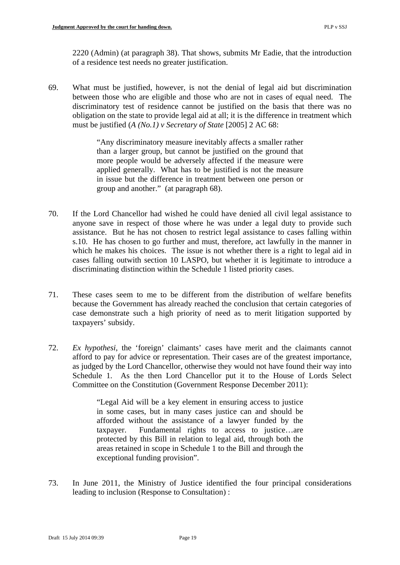2220 (Admin) (at paragraph 38). That shows, submits Mr Eadie, that the introduction of a residence test needs no greater justification.

69. What must be justified, however, is not the denial of legal aid but discrimination between those who are eligible and those who are not in cases of equal need. The discriminatory test of residence cannot be justified on the basis that there was no obligation on the state to provide legal aid at all; it is the difference in treatment which must be justified (*A (No.1) v Secretary of State* [2005] 2 AC 68:

> "Any discriminatory measure inevitably affects a smaller rather than a larger group, but cannot be justified on the ground that more people would be adversely affected if the measure were applied generally. What has to be justified is not the measure in issue but the difference in treatment between one person or group and another." (at paragraph 68).

- 70. If the Lord Chancellor had wished he could have denied all civil legal assistance to anyone save in respect of those where he was under a legal duty to provide such assistance. But he has not chosen to restrict legal assistance to cases falling within s.10. He has chosen to go further and must, therefore, act lawfully in the manner in which he makes his choices. The issue is not whether there is a right to legal aid in cases falling outwith section 10 LASPO, but whether it is legitimate to introduce a discriminating distinction within the Schedule 1 listed priority cases.
- 71. These cases seem to me to be different from the distribution of welfare benefits because the Government has already reached the conclusion that certain categories of case demonstrate such a high priority of need as to merit litigation supported by taxpayers' subsidy.
- 72. *Ex hypothesi*, the 'foreign' claimants' cases have merit and the claimants cannot afford to pay for advice or representation. Their cases are of the greatest importance, as judged by the Lord Chancellor, otherwise they would not have found their way into Schedule 1. As the then Lord Chancellor put it to the House of Lords Select Committee on the Constitution (Government Response December 2011):

"Legal Aid will be a key element in ensuring access to justice in some cases, but in many cases justice can and should be afforded without the assistance of a lawyer funded by the taxpayer. Fundamental rights to access to justice…are protected by this Bill in relation to legal aid, through both the areas retained in scope in Schedule 1 to the Bill and through the exceptional funding provision".

73. In June 2011, the Ministry of Justice identified the four principal considerations leading to inclusion (Response to Consultation) :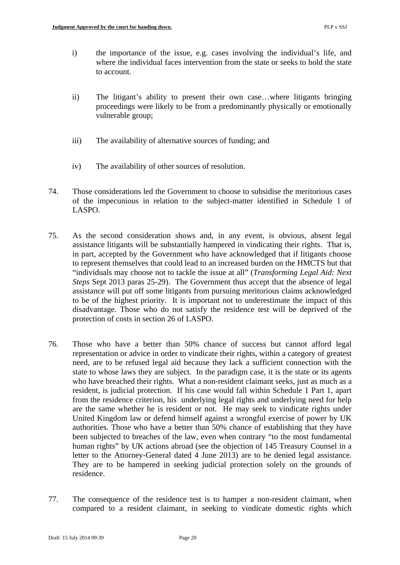- i) the importance of the issue, e.g. cases involving the individual's life, and where the individual faces intervention from the state or seeks to hold the state to account.
- ii) The litigant's ability to present their own case…where litigants bringing proceedings were likely to be from a predominantly physically or emotionally vulnerable group;
- iii) The availability of alternative sources of funding; and
- iv) The availability of other sources of resolution.
- 74. Those considerations led the Government to choose to subsidise the meritorious cases of the impecunious in relation to the subject-matter identified in Schedule 1 of LASPO.
- 75. As the second consideration shows and, in any event, is obvious, absent legal assistance litigants will be substantially hampered in vindicating their rights. That is, in part, accepted by the Government who have acknowledged that if litigants choose to represent themselves that could lead to an increased burden on the HMCTS but that "individuals may choose not to tackle the issue at all" (*Transforming Legal Aid: Next Steps* Sept 2013 paras 25-29). The Government thus accept that the absence of legal assistance will put off some litigants from pursuing meritorious claims acknowledged to be of the highest priority. It is important not to underestimate the impact of this disadvantage. Those who do not satisfy the residence test will be deprived of the protection of costs in section 26 of LASPO.
- 76. Those who have a better than 50% chance of success but cannot afford legal representation or advice in order to vindicate their rights, within a category of greatest need, are to be refused legal aid because they lack a sufficient connection with the state to whose laws they are subject. In the paradigm case, it is the state or its agents who have breached their rights. What a non-resident claimant seeks, just as much as a resident, is judicial protection. If his case would fall within Schedule 1 Part 1, apart from the residence criterion, his underlying legal rights and underlying need for help are the same whether he is resident or not. He may seek to vindicate rights under United Kingdom law or defend himself against a wrongful exercise of power by UK authorities. Those who have a better than 50% chance of establishing that they have been subjected to breaches of the law, even when contrary "to the most fundamental human rights" by UK actions abroad (see the objection of 145 Treasury Counsel in a letter to the Attorney-General dated 4 June 2013) are to be denied legal assistance. They are to be hampered in seeking judicial protection solely on the grounds of residence.
- 77. The consequence of the residence test is to hamper a non-resident claimant, when compared to a resident claimant, in seeking to vindicate domestic rights which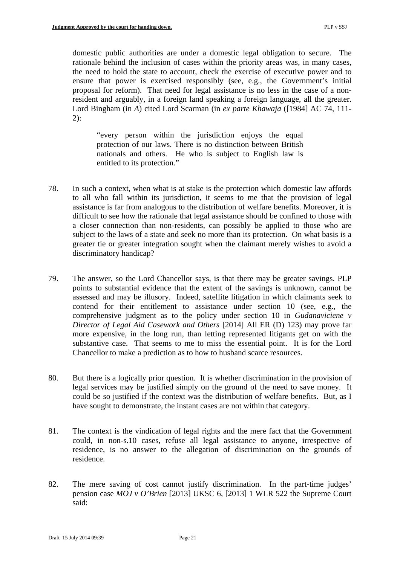domestic public authorities are under a domestic legal obligation to secure. The rationale behind the inclusion of cases within the priority areas was, in many cases, the need to hold the state to account, check the exercise of executive power and to ensure that power is exercised responsibly (see, e.g., the Government's initial proposal for reform). That need for legal assistance is no less in the case of a nonresident and arguably, in a foreign land speaking a foreign language, all the greater. Lord Bingham (in *A*) cited Lord Scarman (in *ex parte Khawaja* ([1984] AC 74, 111- 2):

"every person within the jurisdiction enjoys the equal protection of our laws. There is no distinction between British nationals and others. He who is subject to English law is entitled to its protection."

- 78. In such a context, when what is at stake is the protection which domestic law affords to all who fall within its jurisdiction, it seems to me that the provision of legal assistance is far from analogous to the distribution of welfare benefits. Moreover, it is difficult to see how the rationale that legal assistance should be confined to those with a closer connection than non-residents, can possibly be applied to those who are subject to the laws of a state and seek no more than its protection. On what basis is a greater tie or greater integration sought when the claimant merely wishes to avoid a discriminatory handicap?
- 79. The answer, so the Lord Chancellor says, is that there may be greater savings. PLP points to substantial evidence that the extent of the savings is unknown, cannot be assessed and may be illusory. Indeed, satellite litigation in which claimants seek to contend for their entitlement to assistance under section 10 (see, e.g., the comprehensive judgment as to the policy under section 10 in *Gudanaviciene v Director of Legal Aid Casework and Others* [2014] All ER (D) 123) may prove far more expensive, in the long run, than letting represented litigants get on with the substantive case. That seems to me to miss the essential point. It is for the Lord Chancellor to make a prediction as to how to husband scarce resources.
- 80. But there is a logically prior question. It is whether discrimination in the provision of legal services may be justified simply on the ground of the need to save money. It could be so justified if the context was the distribution of welfare benefits. But, as I have sought to demonstrate, the instant cases are not within that category.
- 81. The context is the vindication of legal rights and the mere fact that the Government could, in non-s.10 cases, refuse all legal assistance to anyone, irrespective of residence, is no answer to the allegation of discrimination on the grounds of residence.
- 82. The mere saving of cost cannot justify discrimination. In the part-time judges' pension case *MOJ v O'Brien* [2013] UKSC 6, [2013] 1 WLR 522 the Supreme Court said: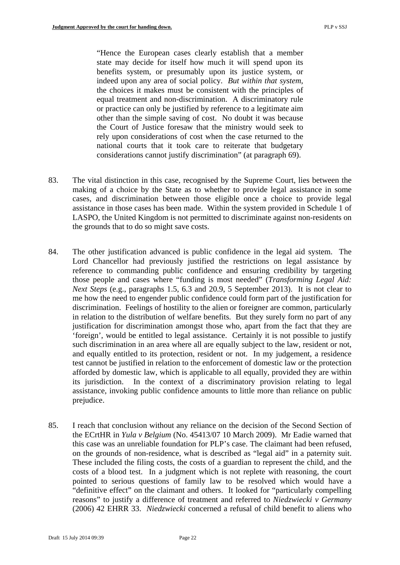"Hence the European cases clearly establish that a member state may decide for itself how much it will spend upon its benefits system, or presumably upon its justice system, or indeed upon any area of social policy. *But within that system*, the choices it makes must be consistent with the principles of equal treatment and non-discrimination. A discriminatory rule or practice can only be justified by reference to a legitimate aim other than the simple saving of cost. No doubt it was because the Court of Justice foresaw that the ministry would seek to rely upon considerations of cost when the case returned to the national courts that it took care to reiterate that budgetary considerations cannot justify discrimination" (at paragraph 69).

- 83. The vital distinction in this case, recognised by the Supreme Court, lies between the making of a choice by the State as to whether to provide legal assistance in some cases, and discrimination between those eligible once a choice to provide legal assistance in those cases has been made. Within the system provided in Schedule 1 of LASPO, the United Kingdom is not permitted to discriminate against non-residents on the grounds that to do so might save costs.
- 84. The other justification advanced is public confidence in the legal aid system. The Lord Chancellor had previously justified the restrictions on legal assistance by reference to commanding public confidence and ensuring credibility by targeting those people and cases where "funding is most needed" (*Transforming Legal Aid: Next Steps* (e.g., paragraphs 1.5, 6.3 and 20.9, 5 September 2013). It is not clear to me how the need to engender public confidence could form part of the justification for discrimination. Feelings of hostility to the alien or foreigner are common, particularly in relation to the distribution of welfare benefits. But they surely form no part of any justification for discrimination amongst those who, apart from the fact that they are 'foreign', would be entitled to legal assistance. Certainly it is not possible to justify such discrimination in an area where all are equally subject to the law, resident or not, and equally entitled to its protection, resident or not. In my judgement, a residence test cannot be justified in relation to the enforcement of domestic law or the protection afforded by domestic law, which is applicable to all equally, provided they are within its jurisdiction. In the context of a discriminatory provision relating to legal assistance, invoking public confidence amounts to little more than reliance on public prejudice.
- on the grounds of non-residence, what is described as "legal aid" in a paternity suit. These included the filing costs, the costs of a guardian to represent the child, and the 85. I reach that conclusion without any reliance on the decision of the Second Section of the ECrtHR in *Yula v Belgium* (No. 45413/07 10 March 2009). Mr Eadie warned that this case was an unreliable foundation for PLP's case. The claimant had been refused, costs of a blood test. In a judgment which is not replete with reasoning, the court pointed to serious questions of family law to be resolved which would have a "definitive effect" on the claimant and others. It looked for "particularly compelling reasons" to justify a difference of treatment and referred to *Niedzwiecki v Germany*  (2006) 42 EHRR 33. *Niedzwiecki* concerned a refusal of child benefit to aliens who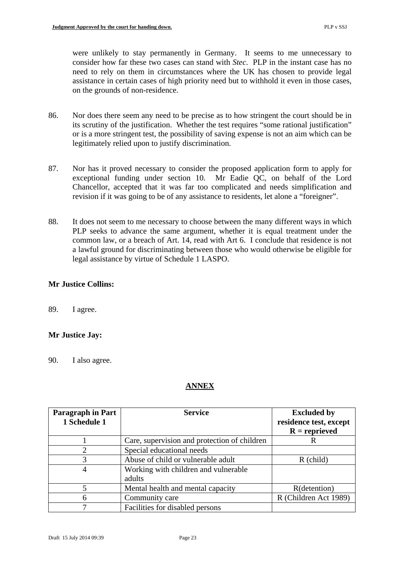were unlikely to stay permanently in Germany. It seems to me unnecessary to consider how far these two cases can stand with *Stec*. PLP in the instant case has no need to rely on them in circumstances where the UK has chosen to provide legal assistance in certain cases of high priority need but to withhold it even in those cases, on the grounds of non-residence.

- 86. Nor does there seem any need to be precise as to how stringent the court should be in its scrutiny of the justification. Whether the test requires "some rational justification" or is a more stringent test, the possibility of saving expense is not an aim which can be legitimately relied upon to justify discrimination.
- 87. Nor has it proved necessary to consider the proposed application form to apply for exceptional funding under section 10. Mr Eadie QC, on behalf of the Lord Chancellor, accepted that it was far too complicated and needs simplification and revision if it was going to be of any assistance to residents, let alone a "foreigner".
- 88. It does not seem to me necessary to choose between the many different ways in which PLP seeks to advance the same argument, whether it is equal treatment under the common law, or a breach of Art. 14, read with Art 6. I conclude that residence is not a lawful ground for discriminating between those who would otherwise be eligible for legal assistance by virtue of Schedule 1 LASPO.

# **Mr Justice Collins:**

89. I agree.

### **Mr Justice Jay:**

90. I also agree.

# **ANNEX**

| <b>Paragraph in Part</b>    | <b>Service</b>                               | <b>Excluded by</b>     |
|-----------------------------|----------------------------------------------|------------------------|
| 1 Schedule 1                |                                              | residence test, except |
|                             |                                              | $R =$ reprieved        |
|                             | Care, supervision and protection of children |                        |
| $\mathcal{D}_{\mathcal{L}}$ | Special educational needs                    |                        |
| 3                           | Abuse of child or vulnerable adult           | $R$ (child)            |
| 4                           | Working with children and vulnerable         |                        |
|                             | adults                                       |                        |
|                             | Mental health and mental capacity            | R(detention)           |
| 6                           | Community care                               | R (Children Act 1989)  |
|                             | Facilities for disabled persons              |                        |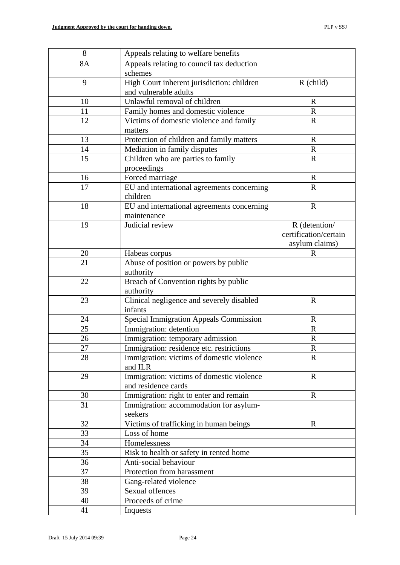| 8        | Appeals relating to welfare benefits              |                       |
|----------|---------------------------------------------------|-----------------------|
| 8A       | Appeals relating to council tax deduction         |                       |
|          | schemes                                           |                       |
| 9        | High Court inherent jurisdiction: children        | $R$ (child)           |
|          | and vulnerable adults                             |                       |
| 10       | Unlawful removal of children                      | $\mathbf R$           |
| 11       | Family homes and domestic violence                | $\mathbf R$           |
| 12       | Victims of domestic violence and family           | $\mathbf R$           |
|          | matters                                           |                       |
| 13       | Protection of children and family matters         | $\mathbf R$           |
| 14       | Mediation in family disputes                      | $\mathbf R$           |
| 15       | Children who are parties to family                | $\mathbf R$           |
|          | proceedings                                       |                       |
| 16       | Forced marriage                                   | $\mathbf R$           |
| 17       | EU and international agreements concerning        | $\mathbf R$           |
|          | children                                          |                       |
| 18       | EU and international agreements concerning        | $\mathbf R$           |
|          | maintenance                                       |                       |
| 19       | Judicial review                                   | R (detention/         |
|          |                                                   | certification/certain |
|          |                                                   | asylum claims)        |
| 20       | Habeas corpus                                     | R                     |
| 21       | Abuse of position or powers by public             |                       |
|          | authority                                         |                       |
| 22       | Breach of Convention rights by public             |                       |
|          | authority                                         |                       |
| 23       | Clinical negligence and severely disabled         | $\mathbf R$           |
|          | infants                                           |                       |
| 24       | <b>Special Immigration Appeals Commission</b>     | $\mathbf R$           |
| 25       | Immigration: detention                            | $\mathbf R$           |
| 26       | Immigration: temporary admission                  | $\mathbf R$           |
| 27       | Immigration: residence etc. restrictions          | $\overline{R}$        |
| 28       | Immigration: victims of domestic violence         | $\mathbf{R}$          |
|          | and ILR                                           |                       |
| 29       | Immigration: victims of domestic violence         | $\mathbb{R}$          |
|          | and residence cards                               |                       |
| 30<br>31 | Immigration: right to enter and remain            | $\mathbf R$           |
|          | Immigration: accommodation for asylum-<br>seekers |                       |
| 32       | Victims of trafficking in human beings            | $\mathbf R$           |
| 33       | Loss of home                                      |                       |
| 34       | Homelessness                                      |                       |
| 35       | Risk to health or safety in rented home           |                       |
| 36       | Anti-social behaviour                             |                       |
| 37       | Protection from harassment                        |                       |
| 38       | Gang-related violence                             |                       |
| 39       | Sexual offences                                   |                       |
| 40       | Proceeds of crime                                 |                       |
| 41       | Inquests                                          |                       |
|          |                                                   |                       |